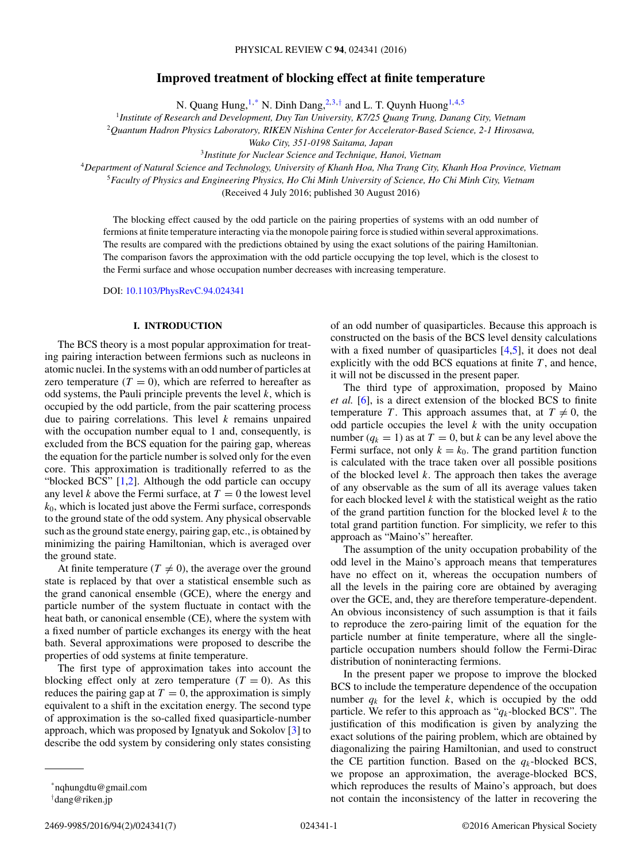# **Improved treatment of blocking effect at finite temperature**

N. Quang Hung, $1,^*$  N. Dinh Dang, $2,3,†$  and L. T. Quynh Huong $1,4,5$ 

<sup>1</sup>*Institute of Research and Development, Duy Tan University, K7/25 Quang Trung, Danang City, Vietnam*

<sup>2</sup>*Quantum Hadron Physics Laboratory, RIKEN Nishina Center for Accelerator-Based Science, 2-1 Hirosawa,*

*Wako City, 351-0198 Saitama, Japan*

<sup>3</sup>*Institute for Nuclear Science and Technique, Hanoi, Vietnam*

<sup>4</sup>*Department of Natural Science and Technology, University of Khanh Hoa, Nha Trang City, Khanh Hoa Province, Vietnam*

<sup>5</sup>*Faculty of Physics and Engineering Physics, Ho Chi Minh University of Science, Ho Chi Minh City, Vietnam*

(Received 4 July 2016; published 30 August 2016)

The blocking effect caused by the odd particle on the pairing properties of systems with an odd number of fermions at finite temperature interacting via the monopole pairing force is studied within several approximations. The results are compared with the predictions obtained by using the exact solutions of the pairing Hamiltonian. The comparison favors the approximation with the odd particle occupying the top level, which is the closest to the Fermi surface and whose occupation number decreases with increasing temperature.

DOI: [10.1103/PhysRevC.94.024341](http://dx.doi.org/10.1103/PhysRevC.94.024341)

### **I. INTRODUCTION**

The BCS theory is a most popular approximation for treating pairing interaction between fermions such as nucleons in atomic nuclei. In the systems with an odd number of particles at zero temperature  $(T = 0)$ , which are referred to hereafter as odd systems, the Pauli principle prevents the level  $k$ , which is occupied by the odd particle, from the pair scattering process due to pairing correlations. This level  $k$  remains unpaired with the occupation number equal to 1 and, consequently, is excluded from the BCS equation for the pairing gap, whereas the equation for the particle number is solved only for the even core. This approximation is traditionally referred to as the "blocked BCS" [\[1,2\]](#page-6-0). Although the odd particle can occupy any level k above the Fermi surface, at  $T = 0$  the lowest level  $k<sub>0</sub>$ , which is located just above the Fermi surface, corresponds to the ground state of the odd system. Any physical observable such as the ground state energy, pairing gap, etc., is obtained by minimizing the pairing Hamiltonian, which is averaged over the ground state.

At finite temperature ( $T \neq 0$ ), the average over the ground state is replaced by that over a statistical ensemble such as the grand canonical ensemble (GCE), where the energy and particle number of the system fluctuate in contact with the heat bath, or canonical ensemble (CE), where the system with a fixed number of particle exchanges its energy with the heat bath. Several approximations were proposed to describe the properties of odd systems at finite temperature.

The first type of approximation takes into account the blocking effect only at zero temperature  $(T = 0)$ . As this reduces the pairing gap at  $T = 0$ , the approximation is simply equivalent to a shift in the excitation energy. The second type of approximation is the so-called fixed quasiparticle-number approach, which was proposed by Ignatyuk and Sokolov [\[3\]](#page-6-0) to describe the odd system by considering only states consisting

of an odd number of quasiparticles. Because this approach is constructed on the basis of the BCS level density calculations with a fixed number of quasiparticles [\[4,5\]](#page-6-0), it does not deal explicitly with the odd BCS equations at finite  $T$ , and hence, it will not be discussed in the present paper.

The third type of approximation, proposed by Maino *et al.* [\[6\]](#page-6-0), is a direct extension of the blocked BCS to finite temperature T. This approach assumes that, at  $T \neq 0$ , the odd particle occupies the level  $k$  with the unity occupation number  $(q_k = 1)$  as at  $T = 0$ , but k can be any level above the Fermi surface, not only  $k = k_0$ . The grand partition function is calculated with the trace taken over all possible positions of the blocked level  $k$ . The approach then takes the average of any observable as the sum of all its average values taken for each blocked level  $k$  with the statistical weight as the ratio of the grand partition function for the blocked level  $k$  to the total grand partition function. For simplicity, we refer to this approach as "Maino's" hereafter.

The assumption of the unity occupation probability of the odd level in the Maino's approach means that temperatures have no effect on it, whereas the occupation numbers of all the levels in the pairing core are obtained by averaging over the GCE, and, they are therefore temperature-dependent. An obvious inconsistency of such assumption is that it fails to reproduce the zero-pairing limit of the equation for the particle number at finite temperature, where all the singleparticle occupation numbers should follow the Fermi-Dirac distribution of noninteracting fermions.

In the present paper we propose to improve the blocked BCS to include the temperature dependence of the occupation number  $q_k$  for the level k, which is occupied by the odd particle. We refer to this approach as " $q_k$ -blocked BCS". The justification of this modification is given by analyzing the exact solutions of the pairing problem, which are obtained by diagonalizing the pairing Hamiltonian, and used to construct the CE partition function. Based on the  $q_k$ -blocked BCS, we propose an approximation, the average-blocked BCS, which reproduces the results of Maino's approach, but does not contain the inconsistency of the latter in recovering the

<sup>\*</sup>nqhungdtu@gmail.com

<sup>†</sup> dang@riken.jp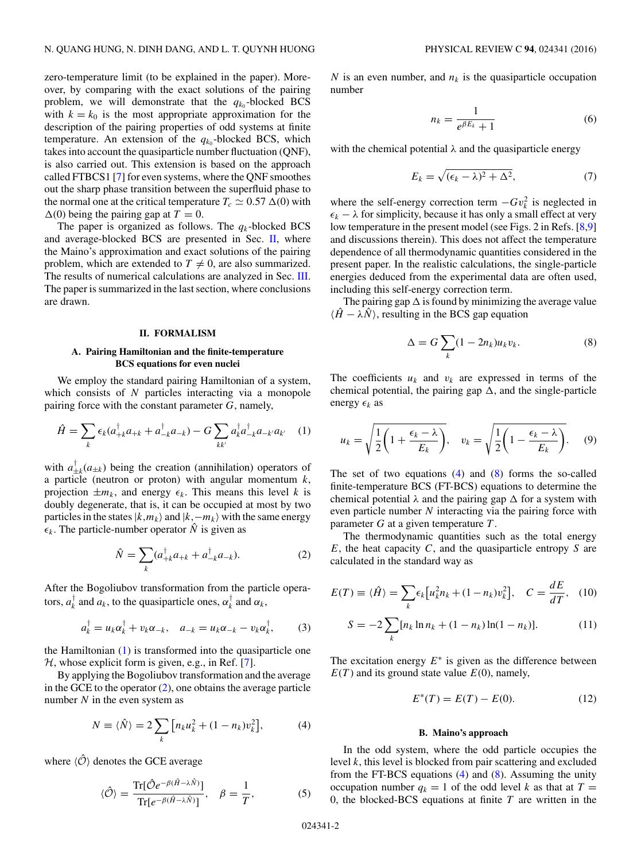<span id="page-1-0"></span>zero-temperature limit (to be explained in the paper). Moreover, by comparing with the exact solutions of the pairing problem, we will demonstrate that the  $q_{k_0}$ -blocked BCS with  $k = k_0$  is the most appropriate approximation for the description of the pairing properties of odd systems at finite temperature. An extension of the  $q_{k0}$ -blocked BCS, which takes into account the quasiparticle number fluctuation (QNF), is also carried out. This extension is based on the approach called FTBCS1 [\[7\]](#page-6-0) for even systems, where the QNF smoothes out the sharp phase transition between the superfluid phase to the normal one at the critical temperature  $T_c \simeq 0.57 \Delta(0)$  with  $\Delta(0)$  being the pairing gap at  $T = 0$ .

The paper is organized as follows. The  $q_k$ -blocked BCS and average-blocked BCS are presented in Sec. II, where the Maino's approximation and exact solutions of the pairing problem, which are extended to  $T \neq 0$ , are also summarized. The results of numerical calculations are analyzed in Sec. [III.](#page-3-0) The paper is summarized in the last section, where conclusions are drawn.

### **II. FORMALISM**

## **A. Pairing Hamiltonian and the finite-temperature BCS equations for even nuclei**

We employ the standard pairing Hamiltonian of a system, which consists of  $N$  particles interacting via a monopole pairing force with the constant parameter G, namely,

$$
\hat{H} = \sum_{k} \epsilon_{k} (a_{+k}^{\dagger} a_{+k} + a_{-k}^{\dagger} a_{-k}) - G \sum_{kk'} a_{k}^{\dagger} a_{-k}^{\dagger} a_{-k'} a_{k'} \quad (1)
$$

with  $a_{\pm k}^{\dagger}(a_{\pm k})$  being the creation (annihilation) operators of a particle (neutron or proton) with angular momentum  $k$ , projection  $\pm m_k$ , and energy  $\epsilon_k$ . This means this level k is doubly degenerate, that is, it can be occupied at most by two particles in the states  $|k,m_k\rangle$  and  $|k,-m_k\rangle$  with the same energy  $\epsilon_k$ . The particle-number operator  $\hat{N}$  is given as

$$
\hat{N} = \sum_{k} (a_{+k}^{\dagger} a_{+k} + a_{-k}^{\dagger} a_{-k}).
$$
\n(2)

After the Bogoliubov transformation from the particle operators,  $a_k^{\dagger}$  and  $a_k$ , to the quasiparticle ones,  $\alpha_k^{\dagger}$  and  $\alpha_k$ ,

$$
a_k^{\dagger} = u_k \alpha_k^{\dagger} + v_k \alpha_{-k}, \quad a_{-k} = u_k \alpha_{-k} - v_k \alpha_k^{\dagger}, \tag{3}
$$

the Hamiltonian (1) is transformed into the quasiparticle one  $H$ , whose explicit form is given, e.g., in Ref. [\[7\]](#page-6-0).

By applying the Bogoliubov transformation and the average in the GCE to the operator  $(2)$ , one obtains the average particle number  $N$  in the even system as

$$
N \equiv \langle \hat{N} \rangle = 2 \sum_{k} \left[ n_{k} u_{k}^{2} + (1 - n_{k}) v_{k}^{2} \right], \tag{4}
$$

where  $\langle \hat{O} \rangle$  denotes the GCE average

$$
\langle \hat{\mathcal{O}} \rangle = \frac{\text{Tr}[\hat{\mathcal{O}}e^{-\beta(\hat{H}-\lambda \hat{N})}]}{\text{Tr}[e^{-\beta(\hat{H}-\lambda \hat{N})}]}, \quad \beta = \frac{1}{T},
$$
 (5)

N is an even number, and  $n_k$  is the quasiparticle occupation number

$$
n_k = \frac{1}{e^{\beta E_k} + 1} \tag{6}
$$

with the chemical potential  $\lambda$  and the quasiparticle energy

$$
E_k = \sqrt{(\epsilon_k - \lambda)^2 + \Delta^2},\tag{7}
$$

where the self-energy correction term  $-Gv_k^2$  is neglected in  $\epsilon_k - \lambda$  for simplicity, because it has only a small effect at very low temperature in the present model (see Figs. 2 in Refs. [\[8,9\]](#page-6-0) and discussions therein). This does not affect the temperature dependence of all thermodynamic quantities considered in the present paper. In the realistic calculations, the single-particle energies deduced from the experimental data are often used, including this self-energy correction term.

The pairing gap  $\Delta$  is found by minimizing the average value  $\langle \hat{H} - \lambda \hat{N} \rangle$ , resulting in the BCS gap equation

$$
\Delta = G \sum_{k} (1 - 2n_k) u_k v_k. \tag{8}
$$

The coefficients  $u_k$  and  $v_k$  are expressed in terms of the chemical potential, the pairing gap  $\Delta$ , and the single-particle energy  $\epsilon_k$  as

$$
u_k = \sqrt{\frac{1}{2} \left( 1 + \frac{\epsilon_k - \lambda}{E_k} \right)}, \quad v_k = \sqrt{\frac{1}{2} \left( 1 - \frac{\epsilon_k - \lambda}{E_k} \right)}. \tag{9}
$$

The set of two equations  $(4)$  and  $(8)$  forms the so-called finite-temperature BCS (FT-BCS) equations to determine the chemical potential  $\lambda$  and the pairing gap  $\Delta$  for a system with even particle number  $N$  interacting via the pairing force with parameter  $G$  at a given temperature  $T$ .

The thermodynamic quantities such as the total energy  $E$ , the heat capacity  $C$ , and the quasiparticle entropy  $S$  are calculated in the standard way as

$$
E(T) \equiv \langle \hat{H} \rangle = \sum_{k} \epsilon_k \left[ u_k^2 n_k + (1 - n_k) v_k^2 \right], \quad C = \frac{dE}{dT}, \quad (10)
$$

$$
S = -2\sum_{k} [n_k \ln n_k + (1 - n_k) \ln(1 - n_k)].
$$
 (11)

The excitation energy  $E^*$  is given as the difference between  $E(T)$  and its ground state value  $E(0)$ , namely,

$$
E^*(T) = E(T) - E(0).
$$
 (12)

### **B. Maino's approach**

In the odd system, where the odd particle occupies the level k, this level is blocked from pair scattering and excluded from the FT-BCS equations  $(4)$  and  $(8)$ . Assuming the unity occupation number  $q_k = 1$  of the odd level k as that at  $T =$ 0, the blocked-BCS equations at finite  $T$  are written in the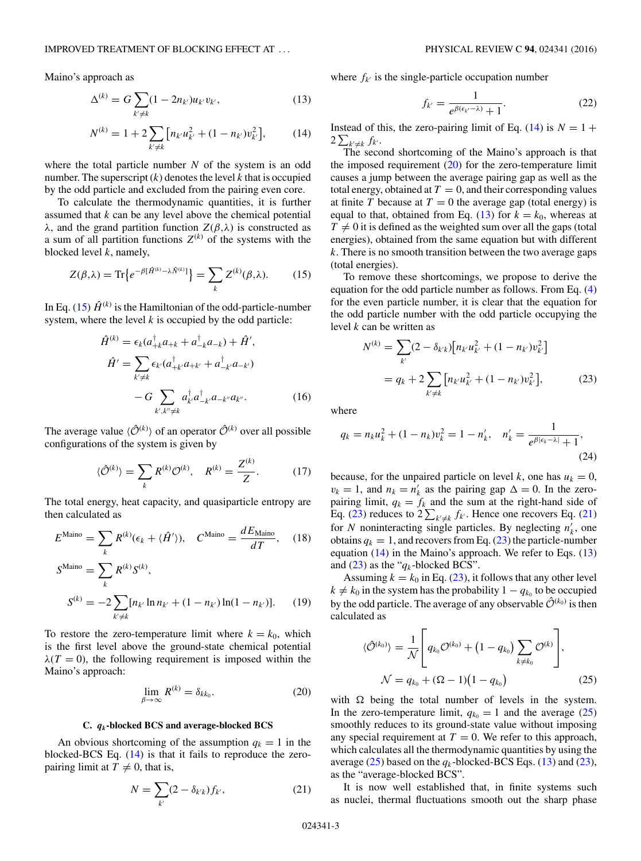<span id="page-2-0"></span>Maino's approach as

$$
\Delta^{(k)} = G \sum_{k' \neq k} (1 - 2n_{k'}) u_{k'} v_{k'}, \tag{13}
$$

$$
N^{(k)} = 1 + 2 \sum_{k' \neq k} \left[ n_{k'} u_{k'}^2 + (1 - n_{k'}) v_{k'}^2 \right],\tag{14}
$$

where the total particle number  $N$  of the system is an odd number. The superscript  $(k)$  denotes the level k that is occupied by the odd particle and excluded from the pairing even core.

To calculate the thermodynamic quantities, it is further assumed that  $k$  can be any level above the chemical potential λ, and the grand partition function Z(β,λ) is constructed as a sum of all partition functions  $Z^{(k)}$  of the systems with the blocked level  $k$ , namely,

$$
Z(\beta,\lambda) = \text{Tr}\left\{e^{-\beta[\hat{H}^{(k)} - \lambda \hat{N}^{(k)}]}\right\} = \sum_{k} Z^{(k)}(\beta,\lambda). \tag{15}
$$

In Eq. (15)  $\hat{H}^{(k)}$  is the Hamiltonian of the odd-particle-number system, where the level  $k$  is occupied by the odd particle:

$$
\hat{H}^{(k)} = \epsilon_k (a_{+k}^{\dagger} a_{+k} + a_{-k}^{\dagger} a_{-k}) + \hat{H}',
$$
\n
$$
\hat{H}' = \sum_{k' \neq k} \epsilon_{k'} (a_{+k'}^{\dagger} a_{+k'} + a_{-k'}^{\dagger} a_{-k'})
$$
\n
$$
-G \sum_{k',k'' \neq k} a_{k'}^{\dagger} a_{-k''}^{\dagger} a_{-k''} a_{k''}.
$$
\n(16)

The average value  $\langle \hat{O}^{(k)} \rangle$  of an operator  $\hat{O}^{(k)}$  over all possible configurations of the system is given by

$$
\langle \hat{\mathcal{O}}^{(k)} \rangle = \sum_{k} R^{(k)} \mathcal{O}^{(k)}, \quad R^{(k)} = \frac{Z^{(k)}}{Z}.
$$
 (17)

The total energy, heat capacity, and quasiparticle entropy are then calculated as

$$
E^{\text{Maino}} = \sum_{k} R^{(k)} (\epsilon_k + \langle \hat{H}' \rangle), \quad C^{\text{Maino}} = \frac{d E_{\text{Maino}}}{dT}, \quad (18)
$$

$$
S^{\text{Maino}} = \sum_{k} R^{(k)} S^{(k)},
$$
  
\n
$$
S^{(k)} = -2 \sum_{k' \neq k} [n_{k'} \ln n_{k'} + (1 - n_{k'}) \ln(1 - n_{k'})].
$$
 (19)

To restore the zero-temperature limit where  $k = k_0$ , which is the first level above the ground-state chemical potential  $\lambda(T=0)$ , the following requirement is imposed within the Maino's approach:

$$
\lim_{\beta \to \infty} R^{(k)} = \delta_{kk_0}.
$$
\n(20)

#### **C.** *qk***-blocked BCS and average-blocked BCS**

An obvious shortcoming of the assumption  $q_k = 1$  in the blocked-BCS Eq. (14) is that it fails to reproduce the zeropairing limit at  $\overline{T} \neq 0$ , that is,

$$
N = \sum_{k'} (2 - \delta_{k'k}) f_{k'},
$$
 (21)

where  $f_{k'}$  is the single-particle occupation number

$$
f_{k'} = \frac{1}{e^{\beta(\epsilon_{k'} - \lambda)} + 1}.
$$
 (22)

Instead of this, the zero-pairing limit of Eq. (14) is  $N = 1 +$  $2\sum_{k'\neq k} f_{k'}$ .

The second shortcoming of the Maino's approach is that the imposed requirement  $(20)$  for the zero-temperature limit causes a jump between the average pairing gap as well as the total energy, obtained at  $T = 0$ , and their corresponding values at finite T because at  $T = 0$  the average gap (total energy) is equal to that, obtained from Eq. (13) for  $k = k_0$ , whereas at  $T \neq 0$  it is defined as the weighted sum over all the gaps (total energies), obtained from the same equation but with different  $k$ . There is no smooth transition between the two average gaps (total energies).

To remove these shortcomings, we propose to derive the equation for the odd particle number as follows. From Eq. [\(4\)](#page-1-0) for the even particle number, it is clear that the equation for the odd particle number with the odd particle occupying the level  $k$  can be written as

$$
N^{(k)} = \sum_{k'} (2 - \delta_{k'k}) [n_{k'} u_{k'}^2 + (1 - n_{k'}) v_{k'}^2]
$$
  
=  $q_k + 2 \sum_{k' \neq k} [n_{k'} u_{k'}^2 + (1 - n_{k'}) v_{k'}^2],$  (23)

where

$$
q_k = n_k u_k^2 + (1 - n_k) v_k^2 = 1 - n'_k, \quad n'_k = \frac{1}{e^{\beta |\epsilon_k - \lambda|} + 1},
$$
\n(24)

because, for the unpaired particle on level k, one has  $u_k = 0$ ,  $v_k = 1$ , and  $n_k = n'_k$  as the pairing gap  $\Delta = 0$ . In the zeropairing limit,  $q_k = f_k$  and the sum at the right-hand side of Eq. (23) reduces to  $2\sum_{k'\neq k} f_{k'}$ . Hence one recovers Eq. (21) for N noninteracting single particles. By neglecting  $n'_k$ , one obtains  $q_k = 1$ , and recovers from Eq. (23) the particle-number equation  $(14)$  in the Maino's approach. We refer to Eqs.  $(13)$ and  $(23)$  as the " $q_k$ -blocked BCS".

Assuming  $k = k_0$  in Eq. (23), it follows that any other level  $k \neq k_0$  in the system has the probability  $1 - q_{k_0}$  to be occupied by the odd particle. The average of any observable  $\hat{\mathcal{O}}^{(k_0)}$  is then calculated as

$$
\langle \hat{\mathcal{O}}^{(k_0)} \rangle = \frac{1}{\mathcal{N}} \left[ q_{k_0} \mathcal{O}^{(k_0)} + (1 - q_{k_0}) \sum_{k \neq k_0} \mathcal{O}^{(k)} \right],
$$
  

$$
\mathcal{N} = q_{k_0} + (\Omega - 1)(1 - q_{k_0})
$$
(25)

with  $\Omega$  being the total number of levels in the system. In the zero-temperature limit,  $q_{k_0} = 1$  and the average (25) smoothly reduces to its ground-state value without imposing any special requirement at  $T = 0$ . We refer to this approach, which calculates all the thermodynamic quantities by using the average (25) based on the  $q_k$ -blocked-BCS Eqs. (13) and (23), as the "average-blocked BCS".

It is now well established that, in finite systems such as nuclei, thermal fluctuations smooth out the sharp phase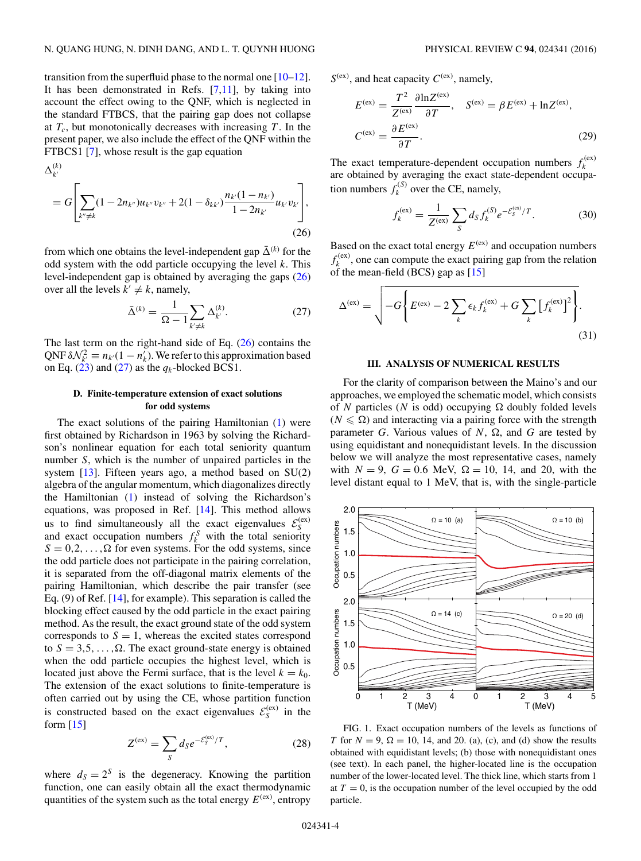<span id="page-3-0"></span>transition from the superfluid phase to the normal one [\[10–12\]](#page-6-0). It has been demonstrated in Refs.  $[7,11]$ , by taking into account the effect owing to the QNF, which is neglected in the standard FTBCS, that the pairing gap does not collapse at  $T_c$ , but monotonically decreases with increasing  $T$ . In the present paper, we also include the effect of the QNF within the FTBCS1 [\[7\]](#page-6-0), whose result is the gap equation

$$
\Delta_{k'}^{(k)}
$$
\n
$$
= G \left[ \sum_{k'' \neq k} (1 - 2n_{k''}) u_{k''} v_{k''} + 2(1 - \delta_{kk'}) \frac{n_{k'} (1 - n_{k'})}{1 - 2n_{k'}} u_{k'} v_{k'} \right],
$$
\n(26)

from which one obtains the level-independent gap  $\bar{\Delta}^{(k)}$  for the odd system with the odd particle occupying the level  $k$ . This level-independent gap is obtained by averaging the gaps (26) over all the levels  $k' \neq k$ , namely,

$$
\bar{\Delta}^{(k)} = \frac{1}{\Omega - 1} \sum_{k' \neq k} \Delta_{k'}^{(k)}.
$$
 (27)

The last term on the right-hand side of Eq.  $(26)$  contains the QNF  $\delta \mathcal{N}_{k'}^2 \equiv n_{k'}(1 - n'_{k})$ . We refer to this approximation based on Eq. [\(23\)](#page-2-0) and (27) as the  $q_k$ -blocked BCS1.

## **D. Finite-temperature extension of exact solutions for odd systems**

The exact solutions of the pairing Hamiltonian [\(1\)](#page-1-0) were first obtained by Richardson in 1963 by solving the Richardson's nonlinear equation for each total seniority quantum number S, which is the number of unpaired particles in the system [\[13\]](#page-6-0). Fifteen years ago, a method based on SU(2) algebra of the angular momentum, which diagonalizes directly the Hamiltonian [\(1\)](#page-1-0) instead of solving the Richardson's equations, was proposed in Ref. [\[14\]](#page-6-0). This method allows us to find simultaneously all the exact eigenvalues  $\mathcal{E}_S^{(ex)}$  and exact occupation numbers  $f_k^S$  with the total seniority  $S = 0, 2, \dots, \Omega$  for even systems. For the odd systems, since the odd particle does not participate in the pairing correlation, it is separated from the off-diagonal matrix elements of the pairing Hamiltonian, which describe the pair transfer (see Eq. (9) of Ref. [\[14\]](#page-6-0), for example). This separation is called the blocking effect caused by the odd particle in the exact pairing method. As the result, the exact ground state of the odd system corresponds to  $S = 1$ , whereas the excited states correspond to  $S = 3, 5, \ldots, \Omega$ . The exact ground-state energy is obtained when the odd particle occupies the highest level, which is located just above the Fermi surface, that is the level  $k = k_0$ . The extension of the exact solutions to finite-temperature is often carried out by using the CE, whose partition function is constructed based on the exact eigenvalues  $\mathcal{E}_S^{(ex)}$  in the form  $[15]$ 

$$
Z^{(ex)} = \sum_{S} d_{S} e^{-\mathcal{E}_{S}^{(ex)}/T},
$$
\n(28)

where  $d_S = 2^S$  is the degeneracy. Knowing the partition function, one can easily obtain all the exact thermodynamic quantities of the system such as the total energy  $E^{(ex)}$ , entropy

 $S^{(ex)}$ , and heat capacity  $C^{(ex)}$ , namely,

$$
E^{(ex)} = \frac{T^2}{Z^{(ex)}} \frac{\partial \ln Z^{(ex)}}{\partial T}, \quad S^{(ex)} = \beta E^{(ex)} + \ln Z^{(ex)},
$$
  

$$
C^{(ex)} = \frac{\partial E^{(ex)}}{\partial T}.
$$
 (29)

The exact temperature-dependent occupation numbers  $f_k^{(ex)}$ are obtained by averaging the exact state-dependent occupation numbers  $f_k^{(S)}$  over the CE, namely,

$$
f_k^{(ex)} = \frac{1}{Z^{(ex)}} \sum_{S} d_S f_k^{(S)} e^{-\mathcal{E}_S^{(ex)}/T}.
$$
 (30)

Based on the exact total energy  $E^{(ex)}$  and occupation numbers  $f_k^{(ex)}$ , one can compute the exact pairing gap from the relation of the mean-field (BCS) gap as  $[15]$ 

$$
\Delta^{(ex)} = \sqrt{-G \left\{ E^{(ex)} - 2 \sum_{k} \epsilon_k f_k^{(ex)} + G \sum_{k} \left[ f_k^{(ex)} \right]^2 \right\}}.
$$
\n(31)

### **III. ANALYSIS OF NUMERICAL RESULTS**

For the clarity of comparison between the Maino's and our approaches, we employed the schematic model, which consists of N particles (N is odd) occupying  $\Omega$  doubly folded levels  $(N \leq \Omega)$  and interacting via a pairing force with the strength parameter G. Various values of N,  $\Omega$ , and G are tested by using equidistant and nonequidistant levels. In the discussion below we will analyze the most representative cases, namely with  $N = 9$ ,  $G = 0.6$  MeV,  $\Omega = 10$ , 14, and 20, with the level distant equal to 1 MeV, that is, with the single-particle



FIG. 1. Exact occupation numbers of the levels as functions of T for  $N = 9$ ,  $\Omega = 10$ , 14, and 20. (a), (c), and (d) show the results obtained with equidistant levels; (b) those with nonequidistant ones (see text). In each panel, the higher-located line is the occupation number of the lower-located level. The thick line, which starts from 1 at  $T = 0$ , is the occupation number of the level occupied by the odd particle.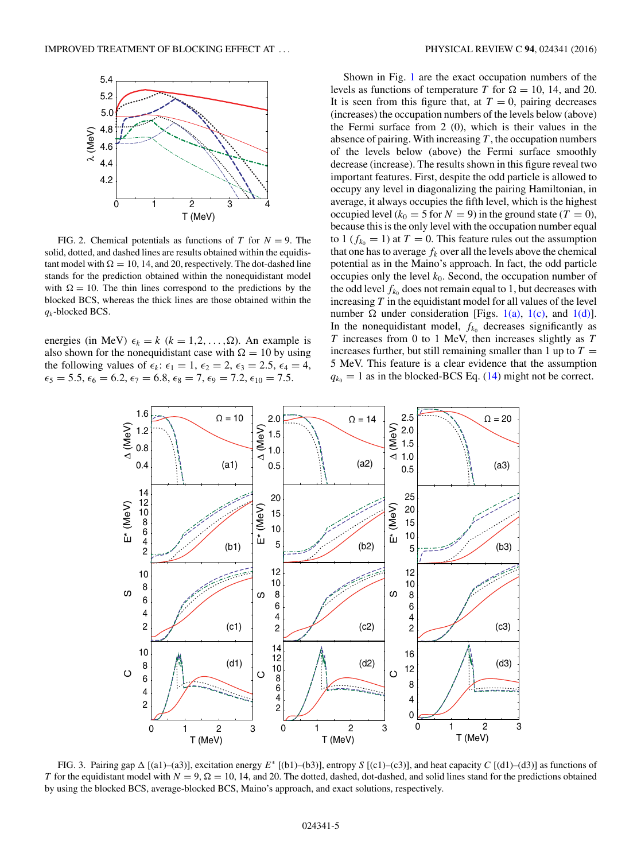<span id="page-4-0"></span>

FIG. 2. Chemical potentials as functions of T for  $N = 9$ . The solid, dotted, and dashed lines are results obtained within the equidistant model with  $\Omega = 10$ , 14, and 20, respectively. The dot-dashed line stands for the prediction obtained within the nonequidistant model with  $\Omega = 10$ . The thin lines correspond to the predictions by the blocked BCS, whereas the thick lines are those obtained within the  $q_k$ -blocked BCS.

energies (in MeV)  $\epsilon_k = k$  ( $k = 1, 2, ..., \Omega$ ). An example is also shown for the nonequidistant case with  $\Omega = 10$  by using the following values of  $\epsilon_k$ :  $\epsilon_1 = 1$ ,  $\epsilon_2 = 2$ ,  $\epsilon_3 = 2.5$ ,  $\epsilon_4 = 4$ ,  $\epsilon_5 = 5.5, \epsilon_6 = 6.2, \epsilon_7 = 6.8, \epsilon_8 = 7, \epsilon_9 = 7.2, \epsilon_{10} = 7.5.$ 

Shown in Fig. [1](#page-3-0) are the exact occupation numbers of the levels as functions of temperature T for  $\Omega = 10$ , 14, and 20. It is seen from this figure that, at  $T = 0$ , pairing decreases (increases) the occupation numbers of the levels below (above) the Fermi surface from 2 (0), which is their values in the absence of pairing. With increasing  $T$ , the occupation numbers of the levels below (above) the Fermi surface smoothly decrease (increase). The results shown in this figure reveal two important features. First, despite the odd particle is allowed to occupy any level in diagonalizing the pairing Hamiltonian, in average, it always occupies the fifth level, which is the highest occupied level ( $k_0 = 5$  for  $N = 9$ ) in the ground state ( $T = 0$ ), because this is the only level with the occupation number equal to 1 ( $f_{k_0} = 1$ ) at  $T = 0$ . This feature rules out the assumption that one has to average  $f_k$  over all the levels above the chemical potential as in the Maino's approach. In fact, the odd particle occupies only the level  $k_0$ . Second, the occupation number of the odd level  $f_{k_0}$  does not remain equal to 1, but decreases with increasing  $T$  in the equidistant model for all values of the level number  $\Omega$  under consideration [Figs. [1\(a\),](#page-3-0) [1\(c\),](#page-3-0) and [1\(d\)\]](#page-3-0). In the nonequidistant model,  $f_{k_0}$  decreases significantly as  $T$  increases from 0 to 1 MeV, then increases slightly as  $T$ increases further, but still remaining smaller than 1 up to  $T =$ 5 MeV. This feature is a clear evidence that the assumption  $q_{k_0} = 1$  as in the blocked-BCS Eq. [\(14\)](#page-2-0) might not be correct.



FIG. 3. Pairing gap  $\Delta$  [(a1)–(a3)], excitation energy  $E^*$  [(b1)–(b3)], entropy S [(c1)–(c3)], and heat capacity C [(d1)–(d3)] as functions of T for the equidistant model with  $N = 9$ ,  $\Omega = 10$ , 14, and 20. The dotted, dashed, dot-dashed, and solid lines stand for the predictions obtained by using the blocked BCS, average-blocked BCS, Maino's approach, and exact solutions, respectively.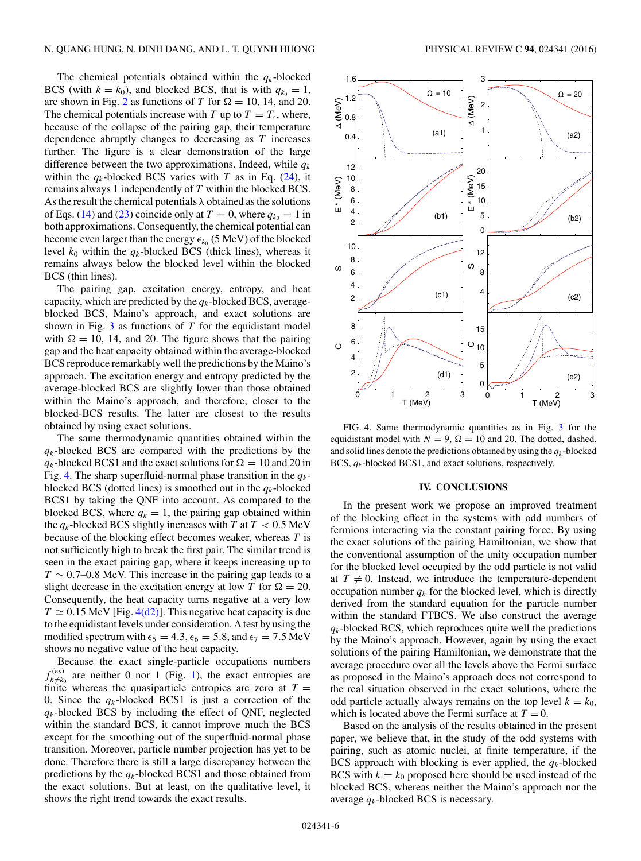The chemical potentials obtained within the  $q_k$ -blocked BCS (with  $k = k_0$ ), and blocked BCS, that is with  $q_{k_0} = 1$ , are shown in Fig. [2](#page-4-0) as functions of T for  $\Omega = 10$ , 14, and 20. The chemical potentials increase with T up to  $T = T_c$ , where, because of the collapse of the pairing gap, their temperature dependence abruptly changes to decreasing as  $T$  increases further. The figure is a clear demonstration of the large difference between the two approximations. Indeed, while  $q_k$ within the  $q_k$ -blocked BCS varies with T as in Eq. [\(24\)](#page-2-0), it remains always 1 independently of T within the blocked BCS. As the result the chemical potentials  $\lambda$  obtained as the solutions of Eqs. [\(14\)](#page-2-0) and [\(23\)](#page-2-0) coincide only at  $T = 0$ , where  $q_{k_0} = 1$  in both approximations. Consequently, the chemical potential can become even larger than the energy  $\epsilon_{k_0}$  (5 MeV) of the blocked level  $k_0$  within the  $q_k$ -blocked BCS (thick lines), whereas it remains always below the blocked level within the blocked BCS (thin lines).

The pairing gap, excitation energy, entropy, and heat capacity, which are predicted by the  $q_k$ -blocked BCS, averageblocked BCS, Maino's approach, and exact solutions are shown in Fig.  $3$  as functions of T for the equidistant model with  $\Omega = 10$ , 14, and 20. The figure shows that the pairing gap and the heat capacity obtained within the average-blocked BCS reproduce remarkably well the predictions by the Maino's approach. The excitation energy and entropy predicted by the average-blocked BCS are slightly lower than those obtained within the Maino's approach, and therefore, closer to the blocked-BCS results. The latter are closest to the results obtained by using exact solutions.

The same thermodynamic quantities obtained within the  $q_k$ -blocked BCS are compared with the predictions by the  $q_k$ -blocked BCS1 and the exact solutions for  $\Omega = 10$  and 20 in Fig. 4. The sharp superfluid-normal phase transition in the  $q_k$ blocked BCS (dotted lines) is smoothed out in the  $q_k$ -blocked BCS1 by taking the QNF into account. As compared to the blocked BCS, where  $q_k = 1$ , the pairing gap obtained within the  $q_k$ -blocked BCS slightly increases with T at  $T < 0.5$  MeV because of the blocking effect becomes weaker, whereas  $T$  is not sufficiently high to break the first pair. The similar trend is seen in the exact pairing gap, where it keeps increasing up to  $T \sim 0.7$ –0.8 MeV. This increase in the pairing gap leads to a slight decrease in the excitation energy at low T for  $\Omega = 20$ . Consequently, the heat capacity turns negative at a very low  $T \simeq 0.15$  MeV [Fig. 4(d2)]. This negative heat capacity is due to the equidistant levels under consideration. A test by using the modified spectrum with  $\epsilon_5 = 4.3$ ,  $\epsilon_6 = 5.8$ , and  $\epsilon_7 = 7.5$  MeV shows no negative value of the heat capacity.

Because the exact single-particle occupations numbers  $f_{k\neq k_0}^{(\text{ex})}$  are neither 0 nor 1 (Fig. [1\)](#page-3-0), the exact entropies are finite whereas the quasiparticle entropies are zero at  $T =$ 0. Since the  $q_k$ -blocked BCS1 is just a correction of the  $q_k$ -blocked BCS by including the effect of QNF, neglected within the standard BCS, it cannot improve much the BCS except for the smoothing out of the superfluid-normal phase transition. Moreover, particle number projection has yet to be done. Therefore there is still a large discrepancy between the predictions by the  $q_k$ -blocked BCS1 and those obtained from the exact solutions. But at least, on the qualitative level, it shows the right trend towards the exact results.



FIG. 4. Same thermodynamic quantities as in Fig. [3](#page-4-0) for the equidistant model with  $N = 9$ ,  $\Omega = 10$  and 20. The dotted, dashed, and solid lines denote the predictions obtained by using the  $q_k$ -blocked BCS,  $q_k$ -blocked BCS1, and exact solutions, respectively.

#### **IV. CONCLUSIONS**

In the present work we propose an improved treatment of the blocking effect in the systems with odd numbers of fermions interacting via the constant pairing force. By using the exact solutions of the pairing Hamiltonian, we show that the conventional assumption of the unity occupation number for the blocked level occupied by the odd particle is not valid at  $T \neq 0$ . Instead, we introduce the temperature-dependent occupation number  $q_k$  for the blocked level, which is directly derived from the standard equation for the particle number within the standard FTBCS. We also construct the average  $q_k$ -blocked BCS, which reproduces quite well the predictions by the Maino's approach. However, again by using the exact solutions of the pairing Hamiltonian, we demonstrate that the average procedure over all the levels above the Fermi surface as proposed in the Maino's approach does not correspond to the real situation observed in the exact solutions, where the odd particle actually always remains on the top level  $k = k_0$ , which is located above the Fermi surface at  $T = 0$ .

Based on the analysis of the results obtained in the present paper, we believe that, in the study of the odd systems with pairing, such as atomic nuclei, at finite temperature, if the BCS approach with blocking is ever applied, the  $q_k$ -blocked BCS with  $k = k_0$  proposed here should be used instead of the blocked BCS, whereas neither the Maino's approach nor the average  $q_k$ -blocked BCS is necessary.